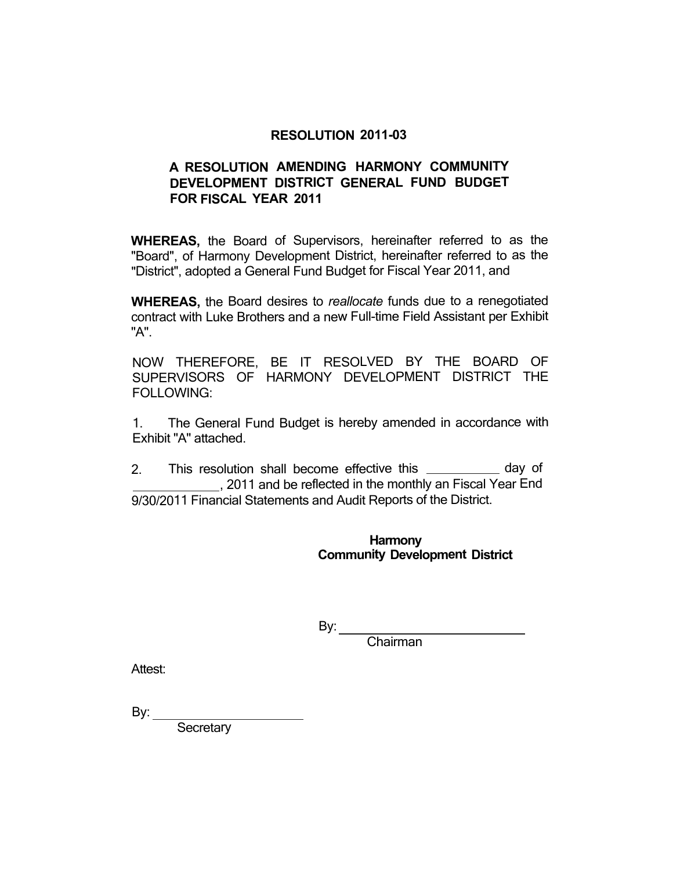## **RESOLUTION 2011-03**

# **A RESOLUTION AMENDING HARMONY COMMUNITY DEVELOPMENT DISTRICT GENERAL FUND BUDGET FOR FISCAL YEAR 2011**

**WHEREAS,** the Board of Supervisors, hereinafter referred to as the "Board", of Harmony Development District, hereinafter referred to as the "District", adopted a General Fund Budget for Fiscal Year 2011, and

**WHEREAS,** the Board desires to *reallocate* funds due to a renegotiated contract with Luke Brothers and a new Full-time Field Assistant per Exhibit "A".

NOW THEREFORE, BE IT RESOLVED BY THE BOARD OF SUPERVISORS OF HARMONY DEVELOPMENT DISTRICT THE FOLLOWING:

1. The General Fund Budget is hereby amended in accordance with Exhibit "A" attached.

2. This resolution shall become effective this \_\_\_\_\_\_\_\_\_\_\_ day of , 2011 and be reflected in the monthly an Fiscal Year End 9/30/2011 Financial Statements and Audit Reports of the District.

> **Harmony Community Development District**

 $By:$ 

Chairman

Attest:

By:  $\_\_$ 

**Secretary**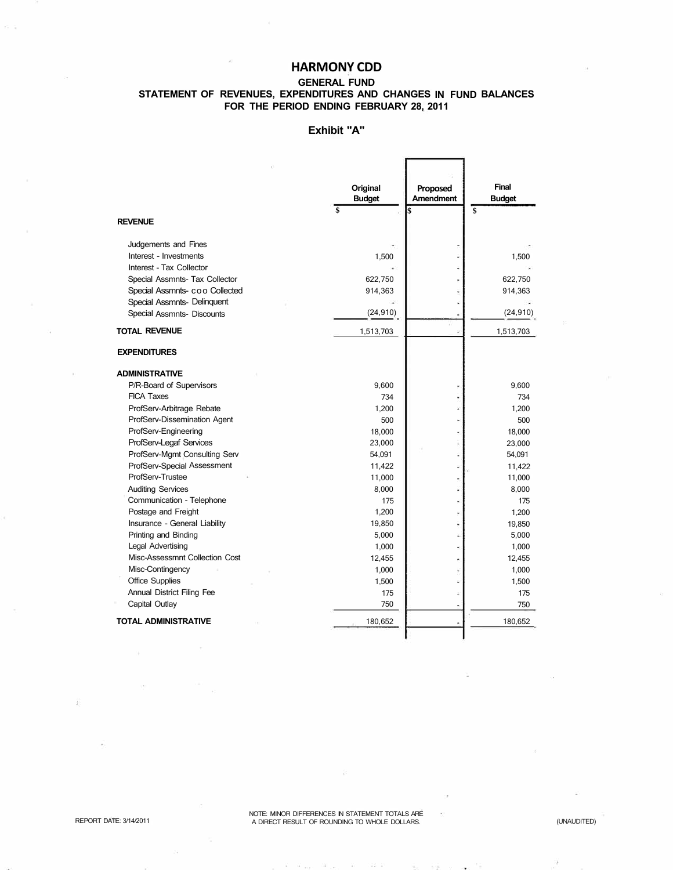## **HARMONY CDD**

#### **GENERAL FUND STATEMENT OF REVENUES, EXPENDITURES AND CHANGES IN FUND BALANCES FOR THE PERIOD ENDING FEBRUARY 28, 2011**

#### **Exhibit "A"**

|                                | Original<br><b>Budget</b> | Proposed<br><b>Amendment</b> | <b>Final</b><br><b>Budget</b> |
|--------------------------------|---------------------------|------------------------------|-------------------------------|
| <b>REVENUE</b>                 | \$                        | \$                           | \$                            |
| Judgements and Fines           |                           |                              |                               |
| Interest - Investments         | 1,500                     |                              | 1,500                         |
| Interest - Tax Collector       |                           |                              |                               |
| Special Assmnts- Tax Collector | 622,750                   |                              | 622,750                       |
| Special Assmnts- coo Collected | 914,363                   |                              | 914,363                       |
| Special Assmnts- Delinquent    |                           |                              |                               |
| Special Assmnts- Discounts     | (24, 910)                 | ä,                           | (24, 910)                     |
| <b>TOTAL REVENUE</b>           | 1,513,703                 | ۵                            | 1,513,703                     |
| <b>EXPENDITURES</b>            |                           |                              |                               |
| <b>ADMINISTRATIVE</b>          |                           |                              |                               |
| P/R-Board of Supervisors       | 9,600                     |                              | 9,600                         |
| <b>FICA Taxes</b>              | 734                       |                              | 734                           |
| ProfServ-Arbitrage Rebate      | 1,200                     |                              | 1,200                         |
| ProfServ-Dissemination Agent   | 500                       |                              | 500                           |
| ProfServ-Engineering           | 18,000                    |                              | 18,000                        |
| ProfServ-Legaf Services        | 23,000                    |                              | 23,000                        |
| ProfServ-Mgmt Consulting Serv  | 54,091                    |                              | 54,091                        |
| ProfServ-Special Assessment    | 11,422                    | ÷,                           | 11,422                        |
| ProfServ-Trustee               | 11,000                    |                              | 11,000                        |
| <b>Auditing Services</b>       | 8,000                     | ü                            | 8,000                         |
| Communication - Telephone      | 175                       |                              | 175                           |
| Postage and Freight            | 1,200                     |                              | 1,200                         |
| Insurance - General Liability  | 19,850                    | ٠                            | 19,850                        |
| Printing and Binding           | 5,000                     |                              | 5,000                         |
| Legal Advertising              | 1,000                     | ¥,                           | 1,000                         |
| Misc-Assessmnt Collection Cost | 12,455                    |                              | 12,455                        |
| Misc-Contingency               | 1,000                     |                              | 1,000                         |
| <b>Office Supplies</b>         | 1,500                     |                              | 1,500                         |
| Annual District Filing Fee     | 175                       |                              | 175                           |
| Capital Outlay                 | 750                       | ٠                            | 750                           |
| <b>TOTAL ADMINISTRATIVE</b>    | 180,652                   |                              | 180,652                       |

NOTE: MINOR DIFFERENCES IN STATEMENT TOTALS ARE REPORT DATE: 3/14/2011 A DIRECT RESULT OF ROUNDING TO WHOLE DOLLARS. (UNAUDITED)

 $\tilde{\mathcal{N}}$